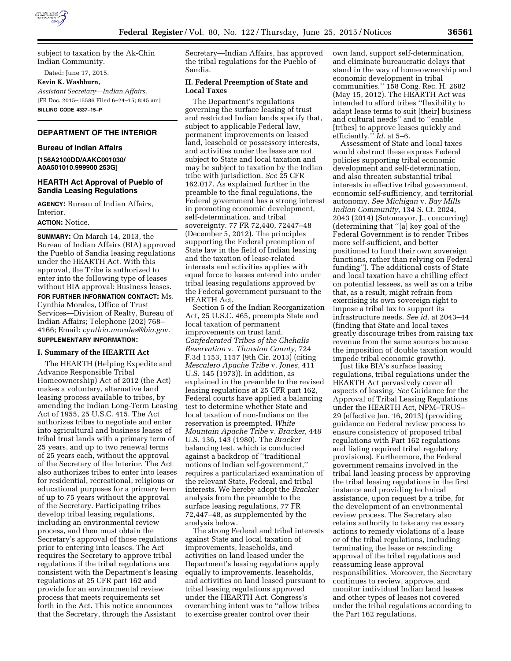

subject to taxation by the Ak-Chin Indian Community.

Dated: June 17, 2015.

# **Kevin K. Washburn,**

*Assistant Secretary—Indian Affairs.*  [FR Doc. 2015–15586 Filed 6–24–15; 8:45 am] **BILLING CODE 4337–15–P** 

## **DEPARTMENT OF THE INTERIOR**

#### **Bureau of Indian Affairs**

**[156A2100DD/AAKC001030/ A0A501010.999900 253G]** 

## **HEARTH Act Approval of Pueblo of Sandia Leasing Regulations**

**AGENCY:** Bureau of Indian Affairs, Interior.

#### **ACTION:** Notice.

**SUMMARY:** On March 14, 2013, the Bureau of Indian Affairs (BIA) approved the Pueblo of Sandia leasing regulations under the HEARTH Act. With this approval, the Tribe is authorized to enter into the following type of leases without BIA approval: Business leases.

**FOR FURTHER INFORMATION CONTACT:** Ms. Cynthia Morales, Office of Trust Services—Division of Realty, Bureau of Indian Affairs; Telephone (202) 768– 4166; Email: *[cynthia.morales@bia.gov.](mailto:cynthia.morales@bia.gov)* 

# **SUPPLEMENTARY INFORMATION:**

### **I. Summary of the HEARTH Act**

The HEARTH (Helping Expedite and Advance Responsible Tribal Homeownership) Act of 2012 (the Act) makes a voluntary, alternative land leasing process available to tribes, by amending the Indian Long-Term Leasing Act of 1955, 25 U.S.C. 415. The Act authorizes tribes to negotiate and enter into agricultural and business leases of tribal trust lands with a primary term of 25 years, and up to two renewal terms of 25 years each, without the approval of the Secretary of the Interior. The Act also authorizes tribes to enter into leases for residential, recreational, religious or educational purposes for a primary term of up to 75 years without the approval of the Secretary. Participating tribes develop tribal leasing regulations, including an environmental review process, and then must obtain the Secretary's approval of those regulations prior to entering into leases. The Act requires the Secretary to approve tribal regulations if the tribal regulations are consistent with the Department's leasing regulations at 25 CFR part 162 and provide for an environmental review process that meets requirements set forth in the Act. This notice announces that the Secretary, through the Assistant

Secretary—Indian Affairs, has approved the tribal regulations for the Pueblo of Sandia.

### **II. Federal Preemption of State and Local Taxes**

The Department's regulations governing the surface leasing of trust and restricted Indian lands specify that, subject to applicable Federal law, permanent improvements on leased land, leasehold or possessory interests, and activities under the lease are not subject to State and local taxation and may be subject to taxation by the Indian tribe with jurisdiction. *See* 25 CFR 162.017. As explained further in the preamble to the final regulations, the Federal government has a strong interest in promoting economic development, self-determination, and tribal sovereignty. 77 FR 72,440, 72447–48 (December 5, 2012). The principles supporting the Federal preemption of State law in the field of Indian leasing and the taxation of lease-related interests and activities applies with equal force to leases entered into under tribal leasing regulations approved by the Federal government pursuant to the HEARTH Act.

Section 5 of the Indian Reorganization Act, 25 U.S.C. 465, preempts State and local taxation of permanent improvements on trust land. *Confederated Tribes of the Chehalis Reservation* v. *Thurston County,* 724 F.3d 1153, 1157 (9th Cir. 2013) (citing *Mescalero Apache Tribe* v. *Jones,* 411 U.S. 145 (1973)). In addition, as explained in the preamble to the revised leasing regulations at 25 CFR part 162, Federal courts have applied a balancing test to determine whether State and local taxation of non-Indians on the reservation is preempted. *White Mountain Apache Tribe* v. *Bracker,* 448 U.S. 136, 143 (1980). The *Bracker*  balancing test, which is conducted against a backdrop of ''traditional notions of Indian self-government,'' requires a particularized examination of the relevant State, Federal, and tribal interests. We hereby adopt the *Bracker*  analysis from the preamble to the surface leasing regulations, 77 FR 72,447–48, as supplemented by the analysis below.

The strong Federal and tribal interests against State and local taxation of improvements, leaseholds, and activities on land leased under the Department's leasing regulations apply equally to improvements, leaseholds, and activities on land leased pursuant to tribal leasing regulations approved under the HEARTH Act. Congress's overarching intent was to ''allow tribes to exercise greater control over their

own land, support self-determination, and eliminate bureaucratic delays that stand in the way of homeownership and economic development in tribal communities.'' 158 Cong. Rec. H. 2682 (May 15, 2012). The HEARTH Act was intended to afford tribes ''flexibility to adapt lease terms to suit [their] business and cultural needs'' and to ''enable [tribes] to approve leases quickly and efficiently.'' *Id.* at 5–6.

Assessment of State and local taxes would obstruct these express Federal policies supporting tribal economic development and self-determination, and also threaten substantial tribal interests in effective tribal government, economic self-sufficiency, and territorial autonomy. *See Michigan* v. *Bay Mills Indian Community,* 134 S. Ct. 2024, 2043 (2014) (Sotomayor, J., concurring) (determining that ''[a] key goal of the Federal Government is to render Tribes more self-sufficient, and better positioned to fund their own sovereign functions, rather than relying on Federal funding''). The additional costs of State and local taxation have a chilling effect on potential lessees, as well as on a tribe that, as a result, might refrain from exercising its own sovereign right to impose a tribal tax to support its infrastructure needs. *See id.* at 2043–44 (finding that State and local taxes greatly discourage tribes from raising tax revenue from the same sources because the imposition of double taxation would impede tribal economic growth).

Just like BIA's surface leasing regulations, tribal regulations under the HEARTH Act pervasively cover all aspects of leasing. *See* Guidance for the Approval of Tribal Leasing Regulations under the HEARTH Act, NPM–TRUS– 29 (effective Jan. 16, 2013) (providing guidance on Federal review process to ensure consistency of proposed tribal regulations with Part 162 regulations and listing required tribal regulatory provisions). Furthermore, the Federal government remains involved in the tribal land leasing process by approving the tribal leasing regulations in the first instance and providing technical assistance, upon request by a tribe, for the development of an environmental review process. The Secretary also retains authority to take any necessary actions to remedy violations of a lease or of the tribal regulations, including terminating the lease or rescinding approval of the tribal regulations and reassuming lease approval responsibilities. Moreover, the Secretary continues to review, approve, and monitor individual Indian land leases and other types of leases not covered under the tribal regulations according to the Part 162 regulations.